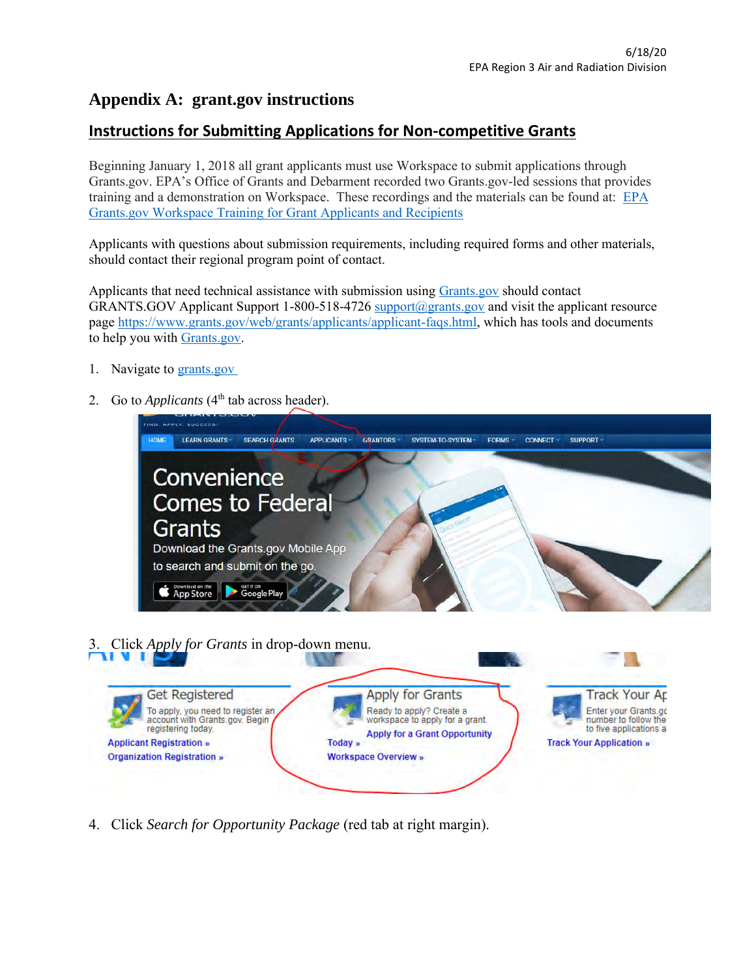## **Appendix A: grant.gov instructions**

## **Instructions for Submitting Applications for Non-competitive Grants**

Beginning January 1, 2018 all grant applicants must use Workspace to submit applications through Grants.gov. EPA's Office of Grants and Debarment recorded two Grants.gov-led sessions that provides training and a demonstration on Workspace. These recordings and the materials can be found at: [EPA](https://www.epa.gov/grants/epa-grantsgov-workspace-training-grant-applicants-and-recipients)  [Grants.gov Workspace Training for Grant Applicants and Recipients](https://www.epa.gov/grants/epa-grantsgov-workspace-training-grant-applicants-and-recipients)

Applicants with questions about submission requirements, including required forms and other materials, should contact their regional program point of contact.

Applicants that need technical assistance with submission using [Grants.gov](https://www.grants.gov/) should contact GRANTS.GOV Applicant Support 1-800-518-4726 [support@grants.gov](mailto:support@grants.gov) and visit the applicant resource page [https://www.grants.gov/web/grants/applicants/applicant-faqs.html,](https://www.grants.gov/web/grants/applicants/applicant-faqs.html) which has tools and documents to help you with [Grants.gov.](https://www.grants.gov/)

- 1. Navigate to [grants.gov](http://www.grants.gov/)
- 2. Go to *Applicants* (4<sup>th</sup> tab across header).



3. Click *Apply for Grants* in drop-down menu.



4. Click *Search for Opportunity Package* (red tab at right margin).